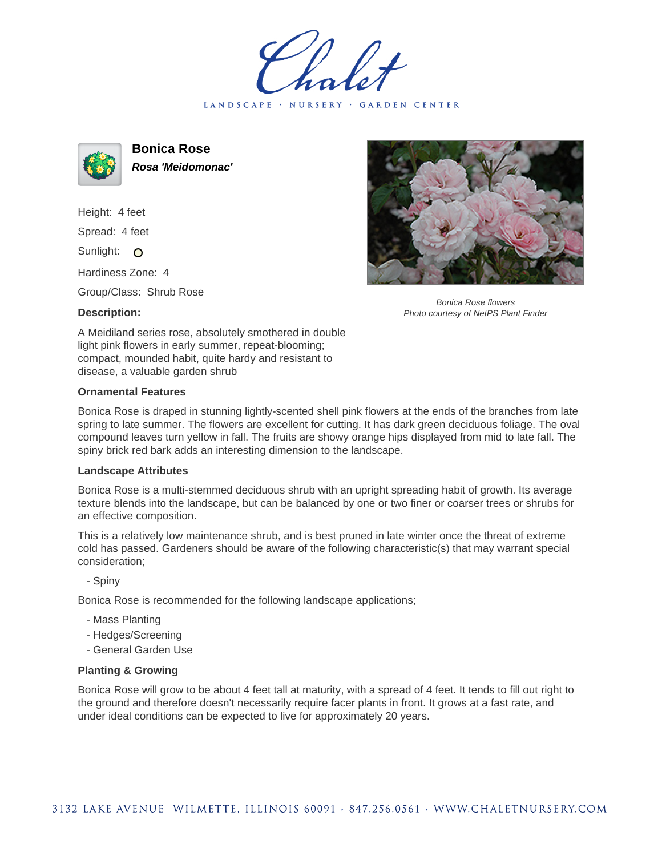LANDSCAPE · NURSERY · GARDEN CENTER



**Bonica Rose Rosa 'Meidomonac'**

Height: 4 feet Spread: 4 feet Sunlight: O

Hardiness Zone: 4

Group/Class: Shrub Rose

## **Description:**



Bonica Rose flowers Photo courtesy of NetPS Plant Finder

A Meidiland series rose, absolutely smothered in double light pink flowers in early summer, repeat-blooming; compact, mounded habit, quite hardy and resistant to disease, a valuable garden shrub

## **Ornamental Features**

Bonica Rose is draped in stunning lightly-scented shell pink flowers at the ends of the branches from late spring to late summer. The flowers are excellent for cutting. It has dark green deciduous foliage. The oval compound leaves turn yellow in fall. The fruits are showy orange hips displayed from mid to late fall. The spiny brick red bark adds an interesting dimension to the landscape.

## **Landscape Attributes**

Bonica Rose is a multi-stemmed deciduous shrub with an upright spreading habit of growth. Its average texture blends into the landscape, but can be balanced by one or two finer or coarser trees or shrubs for an effective composition.

This is a relatively low maintenance shrub, and is best pruned in late winter once the threat of extreme cold has passed. Gardeners should be aware of the following characteristic(s) that may warrant special consideration;

- Spiny

Bonica Rose is recommended for the following landscape applications;

- Mass Planting
- Hedges/Screening
- General Garden Use

## **Planting & Growing**

Bonica Rose will grow to be about 4 feet tall at maturity, with a spread of 4 feet. It tends to fill out right to the ground and therefore doesn't necessarily require facer plants in front. It grows at a fast rate, and under ideal conditions can be expected to live for approximately 20 years.